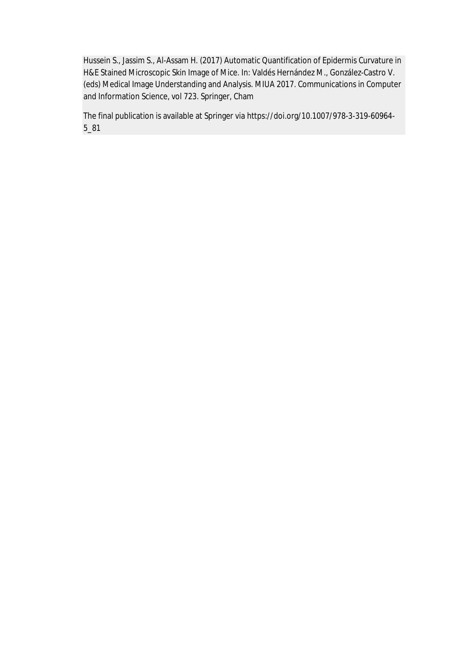# **Automatic Quantification of Epidermis Curvature in H&E Stained Microscopic Skin Image of Mice**

Saif Hussein, Sabah Jassim, Hisham Al-Assam

Applied Computing Department, The University of Buckingham, Buckingham, UK

{fistnam.lastname@buckingham.ac.uk}

**ABSTRACT.** Changes in the curvature of the epidermis layer is often associated with many skin disorders, such as ichthyoses and generic effects of ageing. Therefore, methods to quantify changes in the curvature are of a scientific and clinical interest. Manual methods to determine curvature are both laborious and intractable to large scale investigations. This paper proposes an automatic algorithm to quantify curvature of microscope images of H&E-stained murine skin. The algorithm can be divided into three key stages. First, skin layers segmentation based on colour deconvolution to separate the original image into three channels of different representations to facilitate segmenting the image into multiple layers, namely epidermis, dermis and subcutaneous layers. The algorithm then further segments the epidermis layer into cornified and basal sub-layers. Secondly, it quantifies the curvature of the epidermis layer by measuring the difference between the epidermis edge and a straight line (theoretical reference line) connecting the two far sides of the epidermis edge. Finally, the curvature measurements extracted from a large number of images of mutant mice are used to identify a list of genes responsible for changes in the epidermis curvature. A dataset of 5714 H&E microscopic images of mutant and wild type mice were used to evaluate the effectiveness of the algorithm.

**Keywords:** skin layer segmentation, epidermes layer quantification, skin curvature quantification.

#### **1 Introduction**

Although the Human Genome Project (HGP) determined the sequence of chemical base pairs, which make up human DNA and of identifying and mapping all of the genes of the human genome (approximately 20,500 genes), functionalities of the vast majority of genes are still under research or unknown [1]. The Mouse Genetics Project (MGP) is a large-scale mutant mouse production and phenotyping program aimed at identifying new model organisms of disease. The aim of the MGP is to produce over 20,000 mutant lines and the results are then translated into diagnostics, and treatments for diseases.

Mammalian skin is a complex organ composed of a variety of cell and tissue types. It is the largest mammalian organ, and although apparently simple, it is a highly organized tissue comprised of the epidermis, underlying dermis containing connective tissue and a deeper subcutaneous adipose layer. [2].The skin can reveal evidence of inflammation, hyperplasia, connective tissue disorders and underlying metabolic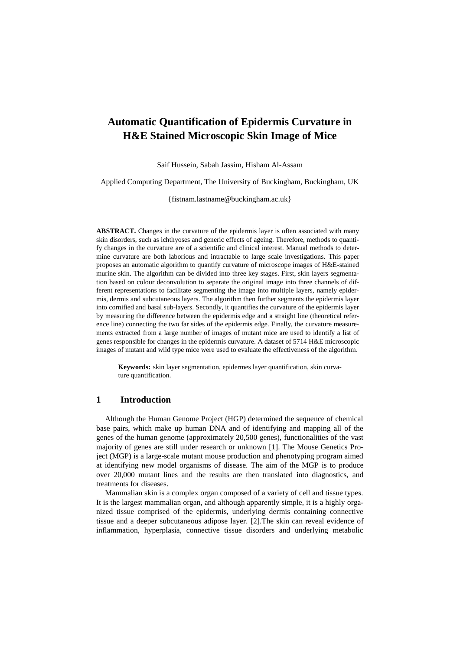changes resulting from local and systemic influences. As dermatology research requires a detailed understanding of skin structure and organization, which requires quantitative measurements, the automatic quantification of changes in skin structures has a variety of different applications for biological research. One requirement in this area is the accurate segmentation of the skin compartments followed by the assessment of various characteristics of those compartments. For example, changes in the curvature of the epidermis layer are often associated with many skin disorders, such as ichthyoses and generic effects of ageing [3]. Therefore, methods to quantify changes in the curvature are of a scientific and clinical interest. Arguably, this cannot be achieved without a reliable segmentation of different skin layers.

Traditional skin studies have utilized manual methods for the quantification of skin features, which is a challenging task due to the complexity of the analysis with big amount of datasets. However, there has been recently a move towards the automation of these techniques to improve accuracy and efficiency by reducing processing time and laboratory costs.

In previous works, one of the attempts to automate the analysis of skin layer in microscopic images was the introduction of the novel shapelet-based procedure for the epidermis boundaries identification and thickness measurement [4]. Later, a classification method was proposed to segment skin layers in images based only on their speckle information [5]. Another interesting work was a hybrid sequence segmentation and classification technique applied to split images into different channels by zstack deconvolution, fitting model of skin layer and their classification into epidermis and dermis [6]. Recently high-definition optical coherence tomography was employed for grey imaging subsurface skin tissues to segment the epidermis layer with using weighted least square based edge-preserving smoothing method with weighted median filter followed by wavelet techniques an [7]

Although all those methods gave great results, they do not allow automatic quantification of epidermis curvature, which is a crucial feature for gene identification and skin disorders diagnostic. In addition to above there wasn't any of methods achieve sub-segmentation of the epidermis layer into cornified and basal layer

In this paper, we propose an automated method to quantify and measure the curvature of the epidermis layer (cornified sub-layer). The ultimate aim is to use the measurements extracted from a large number of mutant mice to identify a list of genes responsible for significant alterations in the curvature of the epidermis.

The rest of the paper is organised as follows. Section 2 explains the proposed algorithm in details whereas section 3 presents the method of identifying the interesting genes using reference range (RR). Section 4 presents the data set used to test the proposal algorithm as well as the result of interesting genes responsible for changes in the epidermis curvature. Finally the section 5 summarises the whole paper by clarifying the aims of this work.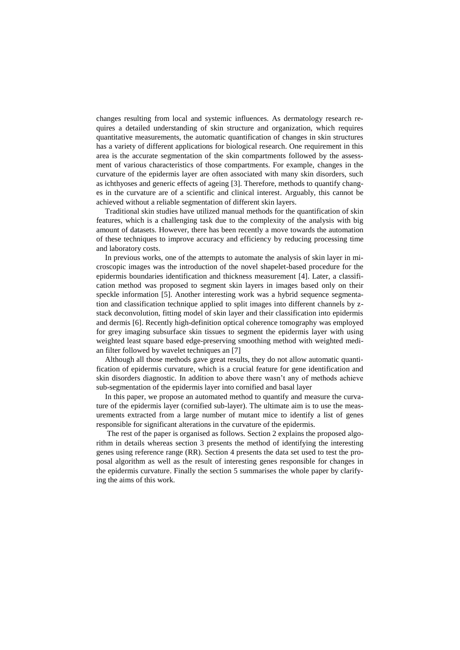# **2 The proposed Method**

The proposed method consist of an algorithm that automatically computes the curvature along the epidermis layer and identify the genes associated with significant changes in the curvature. It is summarized with an illustration in Figure 1, and works in 3 key stages.

- 1. Segments the skin image into its three layers, namely Epidermis, Dermis and Subcutaneous layers. And further segments the Epidermis layer into Cornified and Basal sub-layers [8].
- 2. Quantify the curvature of the epidermis layer by measuring the difference between the epidermis edge and a straight line (an artificial reference line) connecting the two far sides of the epidermis edge.
- 3. Using the curvature measurements extracted from a large number of skin images of mutant mice to identify a list of genes responsible for changes in the epidermis curvature.

The following subsections explain each of the key stages in details.



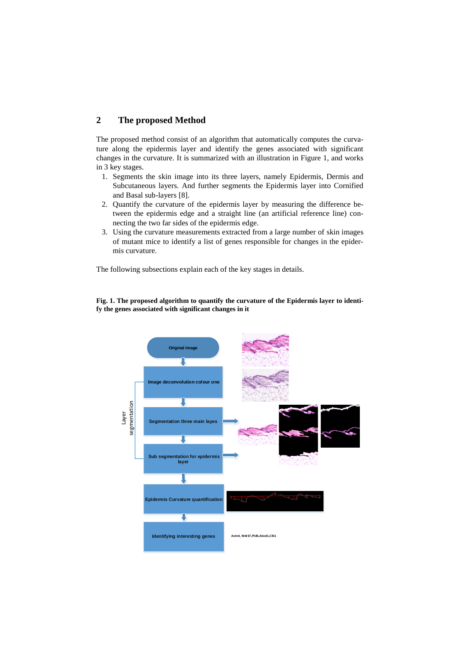### **2.1 Layers Segmentation algorithm**

Segmentation is an important step in the algorithm because the quality of the results is impacted by the quality of the underlying segmentation. Our algorithm uses adaptive colour deconvolution techniques on the H&E stain images to separate different tissue structures as shown in Figure 2 [8]. Then the algorithm uses a set of morphological operations with appropriate structural elements, such as image open, image close and image fill a gap. To further remove unwanted objects, logical operations, such as adding and multiplying images, have been applied to segment epidermis sub layers as illustrated in Figure 3.

**Fig. 2.Colour deconvolution A) Original image. B) Colour 2 deconvolution. C) Colour 3 deconvolution.**

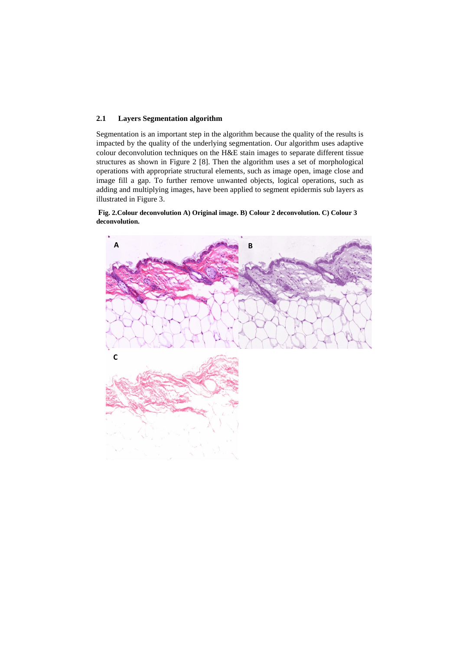



### **2.2 Quantifying the Curvature of the Epidermis Layer**

Accurate quantification of the curvature of the epidermis layer would provide new insights into relevant skin disease. Several studies showed that the curvature of rete ridges can vary in ageing or obesity [9]. Other studies found several skin disorders are associated with changes in epidermal junction characterization, such as psoriasis [10]. The proposed method to quantify the curvature relies on measuring the difference between the actual border of the epidermis and a straight reference line connecting the two far sides of the border. The curvature quantification stages can be summarized as follows.

- The border the cornified layers are first extracted from the binary mask of the layer obtained in the previous stage (Figure 4B and 4C). This is simply done by enlarging the mask by one pixel from the top and the bottom followed by subtracting the original mask from it.
- Select the top border (Figure 4D) and connect the far two sides using a theoretical reference line (the red line in Figure 4E).
- Calculate the distances between the points on the actual top border with the reference straight line as explained below.
- The mean of all distances is used a measure to represent the curvature of the epidermis.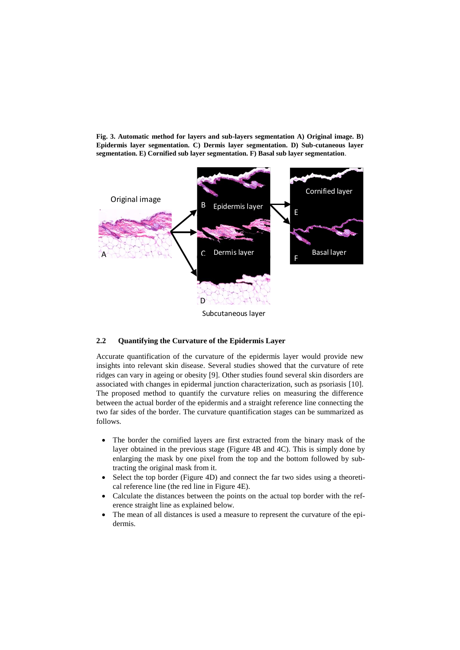The distance from a line (the reference line) with equation

$$
Ax + By + C = 0 \tag{1}
$$

to the point  $(u, v)$  [11] is:

$$
Distance = \frac{|Au + Bv + C|}{\sqrt{A^2 + B^2}}
$$
 (2)

The distance has been found between each points on the epidermis curve and the theoretical line (the red line on Figure 4E), which was define by the equation (1). After that, small distances (less that a threshold) are ignored as they are more likely to represent a noise. The mean of distances is calculated for each image to represent the curvature measurement. It is worth mentioning that all images have more or the less the same orientations close to horizontal.

## **Fig. 4. Representative images for each step of the automated image analysis method to find the curvature in the cornified layer**



NB: A) Original image. B) Cornified layer. C|) Border for the cornified layer. D) Bottom curvature line. E) Theoretical red line on bottom curvature line. F) Distance between theoretical red line and the bottom curvature line.

# 3 **Identifying the genes associated with changes in the curvature of the Epidermis**.

This paper follows a stringent protocol described by the MGP to identify interesting genotypes for further analysis [12], which can be summarised as follows. The reference range (RR) method is used to establish the distribution of the WT measurements for each genetic background. If 60% of the measurements obtained form images of a mutant mice falls outside the 95% confidence intervals (CI) of the RR range, the knocked-out gene for that mutant line is ladled as an interesting gene i.e. a gene that has led to significant changes to the epidermis curvature. The lower and upper 95% CI were computed by the following equations:

$$
Lower 95\% CI = S*1.64+M
$$
 (4)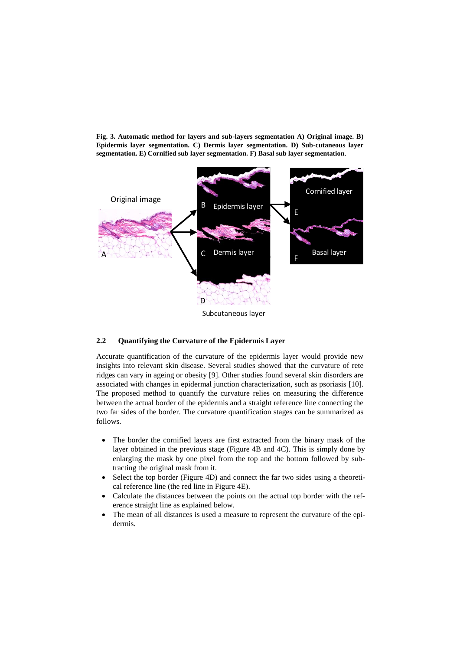Upper 95%  $CI = S *1.96 + M$  (5)

Where the M is the mean of the WT measurements, and S is the standard deviation. If the number of measurements from a mutant that are below the lower 95% CI was >60% or above the upper 95% CI was >60%, the gene of that particular mutant line is consider for future investigation by biologists.

# **4 Experiments.**

#### **4.1 Dataset**

The proposed method is tested on a dataset generated by the Wellcome Trust Sanger Institute (WTSI), which generates mouse genetic and phenotypic data, and distributes this data and resources to the scientific community. The program at WTSI to functionally annotate the mouse genome is illustrated. The primary phenotyping data generated by WTSI aims to discover genes involved in diseases. There are many other research projects that focus on the biological functions of genes in the mouse genetics area by WTSI, such as mouse behaviours, cancer and developmental genetics [13] .Data can be accessed via the mouse resources portal [\(http://www.sanger.ac.uk/mouseportal/\)](http://www.sanger.ac.uk/mouseportal/). H&E stained skin from 16 week-old female mice. The testing data set has 5714 H&E stained image with 20X of magnification and dimensions 1444X908. The images contained 29 wild-type (WT) animals and 116-knockout animal selected randomly by WTSI. There were 2-3 slides available from each animal, and 6-10 images per slide (captured at the magnification and resolution above) were created.

#### **4.2 Results**

As it is not feasible to manually check the segmentation accuracy of 5714 images, we took random sample of 500 images. By close manual examination, we found that 18 images out of the 500 image were not segmented successfully as shown in Figure 5 i.e. the segmentation algorithm achieved an accuracy about 96.4%.

As for the analysis results based on the RR method explained above, we identify 32 genotypes responsible for changes in the Epidermis curvature. Figure 6 shows 18 genotypes (e.g. Actn4/ Actn4) in which the curvature measurements are bigger than the RR 95% CI upper threshold whereas Figure 7 shows 14 genotypes (e.g. Wdr37) in which the curvature measurements are smaller than the RR 95% CI lower threshold

Figure 8 shows an example of these interesting genotypes, particularly Actn4/ Actn4 that increase the curvature in the epidermis layer and Wdr37 that is associated with a decrease in curvature. Figure 8 shows example of images, which have increased and decrease in the curvature of the epidermis layer of the H&E microscopic images in the mice skin.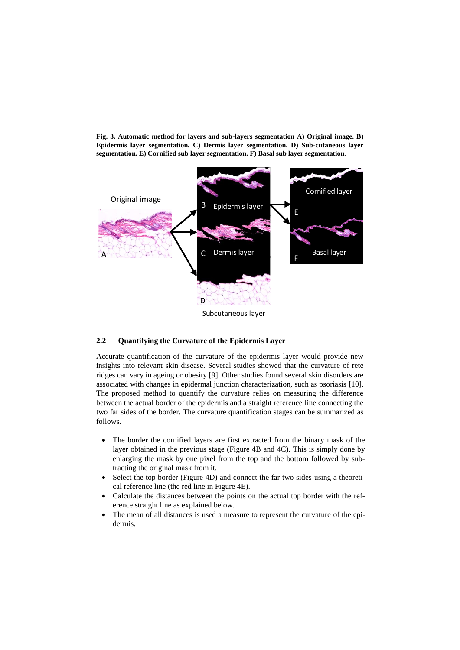#### **Fig. 5. Segmentation accuracy, A) Bad segmentation. B) Good segmentation**



#### **4.3 Curvature Accuracy Compared With Manual**

Twenty five images was selected randomly from development data set (5714 images), then a manual technique was used to quantify the curvature in the epidermis layer to determine the truth distance values. Next the comparing operation has been done, which was clarified in Figure 7, with the automatic result, which  $R^2$  value, was 0.90, has used to measure the approach data to the fitted linear line ground truth value of the distance was found, by calculate the distance between the epidermis layer and the reference line, which was connected between a start point and end point of the epidermis layer as shown in Figure 6, after that, the mean value was calculated for all distances values , for every single image, and then the comparison was applied between the mean value of the manual and the automatic method.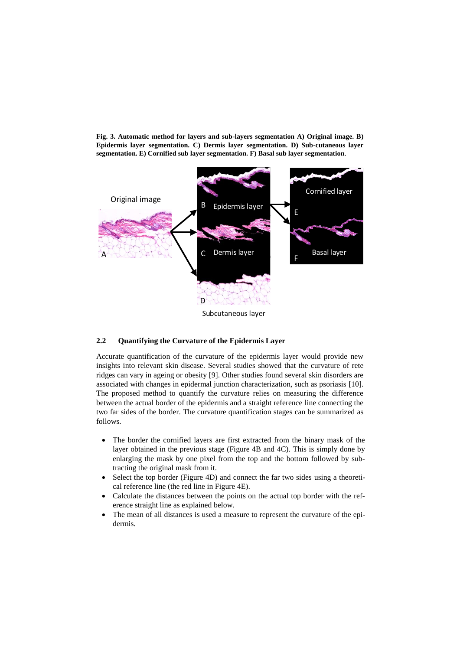

**Fig.6. Manual method for quantifying the curvature of epidermis layer**

**Fig.7. Comparison between manual and automatic method**

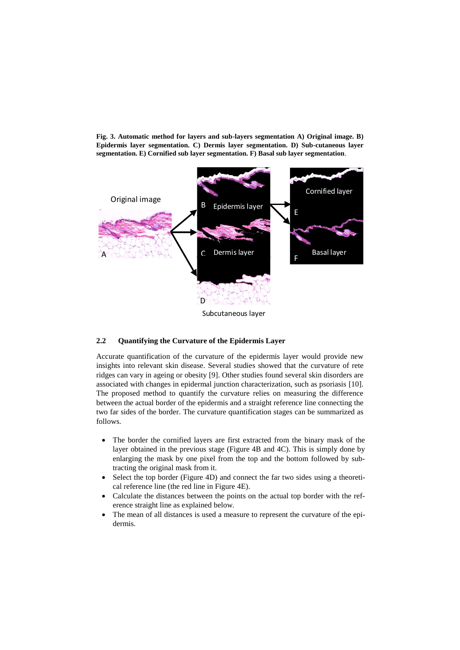# **5 Conclusion**

Biological image processing and analysis provides techniques that help scientists to evaluate the effects of environmental exposure and physiological changes in a research context. These techniques may also be used to evaluate the effect of the treatments and drug efficiency in the context of the drug discovery. All of these analysis techniques could also be applicable clinically. In all applications, novel combinations of image processing/analysis techniques and pipelines will save time and are expected to produce more accurate results that will ultimately help or improve the speed and quality of dermatology and cosmetic treatments. This paper described a method for quantifying the curvature of the epidermis to help identifying genes responsible for changes in the curvature. Experiments on a large set of microscopic images of mutant and WT mice demonstrated the effectiveness of the proposal.

**Fig. 8. Curvature in development data. From analysing 5714 development images, 18 genotypes showed curvature measurements bigger than RR 95% CI upper threshold.** 

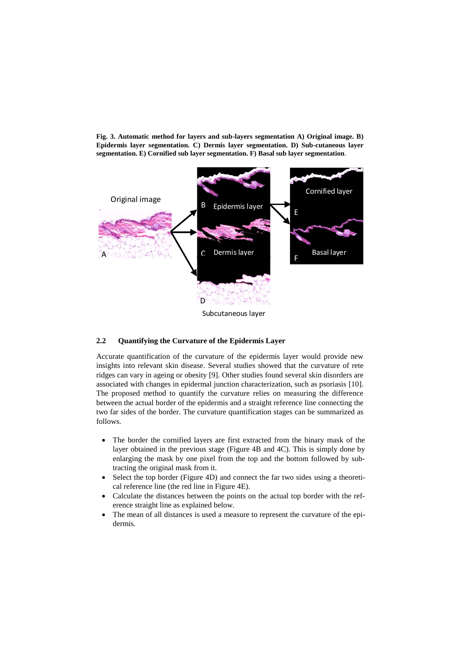

**Fig. 9. Curvature in development data. From analysing 5714 development images, 14 genotypes showed curvature measurements smaller than RR 95% CI lower threshold.**

**Fig. 10. Automatic estimation of interesting genes for curvature in epidermis layer**.



Original image



Increase the epidermis curvy Actn4



Decrease the epidermis curvy Wdr37